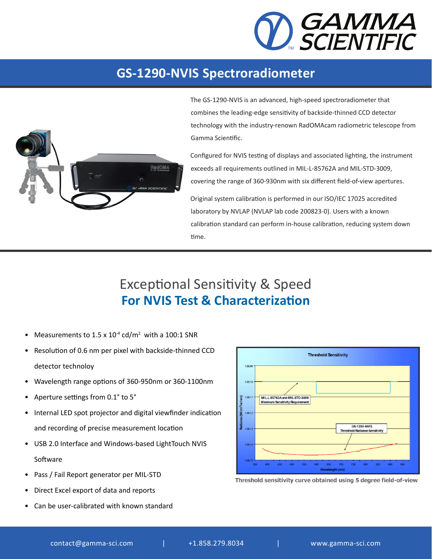

## **GS-1290-NVIS Spectroradiometer**



The GS-1290-NVIS is an advanced, high-speed spectroradiometer that combines the leading-edge sensitivity of backside-thinned CCD detector technology with the industry-renown RadOMAcam radiometric telescope from Gamma Scientific.

Configured for NVIS testing of displays and associated lighting, the instrument exceeds all requirements outlined in MIL-L-85762A and MIL-STD-3009, covering the range of 360-930nm with six different field-of-view apertures.

Original system calibration is performed in our ISO/IEC 17025 accredited laboratory by NVLAP (NVLAP lab code 200823-0). Users with a known calibration standard can perform in-house calibration, reducing system down time.

## Exceptional Sensitivity & Speed **For NVIS Test & Characterization**

- Measurements to  $1.5 \times 10^{-4}$  cd/m<sup>2</sup> with a 100:1 SNR
- Resolution of 0.6 nm per pixel with backside-thinned CCD detector technoloy
- Wavelength range options of 360-950nm or 360-1100nm
- Aperture settings from 0.1° to 5°
- Internal LED spot projector and digital viewfinder indication and recording of precise measurement location
- USB 2.0 Interface and Windows-based LightTouch NVIS Software
- Pass / Fail Report generator per MIL-STD
- Direct Excel export of data and reports
- Can be user-calibrated with known standard



Threshold sensitivity curve obtained using 5 degree field-of-view